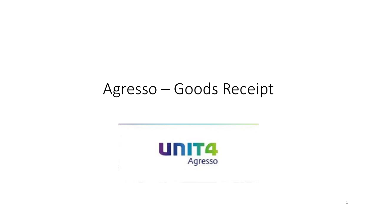## Agresso - Goods Receipt



 $\mathbf 1$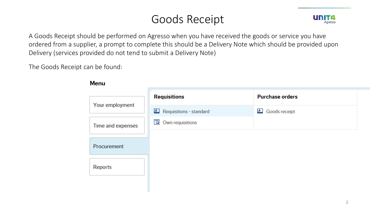## Goods Receipt



A Goods Receipt should be performed on Agresso when you have received the goods or service you have ordered from a supplier, a prompt to complete this should be a Delivery Note which should be provided upon Delivery (services provided do not tend to submit a Delivery Note)

The Goods Receipt can be found:

|                   | <b>Requisitions</b>       | <b>Purchase orders</b> |  |  |
|-------------------|---------------------------|------------------------|--|--|
| Your employment   |                           |                        |  |  |
|                   | A Requisitions - standard | <b>A</b> Goods receipt |  |  |
| Time and expenses | Own requisitions          |                        |  |  |
|                   |                           |                        |  |  |
| Procurement       |                           |                        |  |  |
|                   |                           |                        |  |  |
| Reports           |                           |                        |  |  |
|                   |                           |                        |  |  |
|                   |                           |                        |  |  |

Manu-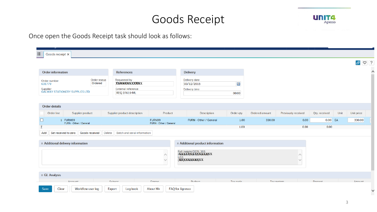### Goods Receipt



#### Once open the Goods Receipt task should look as follows:

| $\boxed{\oslash}$ $\boxed{\oslash}$ ?<br>$\curvearrowright$<br><b>Order information</b><br><b>References</b><br><b>Delivery</b><br>Requested by<br>Delivery date<br>Order status<br>Order number<br>Ordered<br><b>XXXXXXXXXXXXX</b><br>$\sqrt{2}$<br>03/12/2015<br>631779<br><b>External reference</b><br>Supplier<br>Delivery time<br><b>GALWAY STATIONERY SUPPLIES LTD</b><br><b>REQ 27619-ML</b><br>00:00<br><b>Order details</b><br>Order line<br>Supplier product<br>Supplier product description<br>Product<br>Order qty<br>Previously received<br>Qty. received<br>Unit<br>Unit price<br>Description<br>Ordered amount<br>0.00<br>330.00<br>1 FURN99<br>FURN99<br>FURN - Other / General<br>1.00<br>330.00<br>0.00<br>EA<br>FURN - Other / General<br>FURN - Other / General<br>1.00<br>0.00<br>0.00<br>Σ<br>Goods received Delete<br>Batch and serial information<br>Set received to zero<br>Add<br>* Additional delivery information<br>* Additional product information<br>Ref: Insight/DERI, 305<br>PXXXXXXXXXXXXXXXX<br>$\curvearrowright$<br>∧<br>LG <sub>3</sub><br>(NEXXXXXXMXXX<br>$\checkmark$<br>☆ GL Analysis | 這<br>Goods receipt X |       |               |          |  |         |               |
|----------------------------------------------------------------------------------------------------------------------------------------------------------------------------------------------------------------------------------------------------------------------------------------------------------------------------------------------------------------------------------------------------------------------------------------------------------------------------------------------------------------------------------------------------------------------------------------------------------------------------------------------------------------------------------------------------------------------------------------------------------------------------------------------------------------------------------------------------------------------------------------------------------------------------------------------------------------------------------------------------------------------------------------------------------------------------------------------------------------------------------|----------------------|-------|---------------|----------|--|---------|---------------|
|                                                                                                                                                                                                                                                                                                                                                                                                                                                                                                                                                                                                                                                                                                                                                                                                                                                                                                                                                                                                                                                                                                                                  |                      |       |               |          |  |         |               |
|                                                                                                                                                                                                                                                                                                                                                                                                                                                                                                                                                                                                                                                                                                                                                                                                                                                                                                                                                                                                                                                                                                                                  |                      |       |               |          |  |         |               |
|                                                                                                                                                                                                                                                                                                                                                                                                                                                                                                                                                                                                                                                                                                                                                                                                                                                                                                                                                                                                                                                                                                                                  |                      |       |               |          |  |         |               |
|                                                                                                                                                                                                                                                                                                                                                                                                                                                                                                                                                                                                                                                                                                                                                                                                                                                                                                                                                                                                                                                                                                                                  |                      |       |               |          |  |         |               |
|                                                                                                                                                                                                                                                                                                                                                                                                                                                                                                                                                                                                                                                                                                                                                                                                                                                                                                                                                                                                                                                                                                                                  |                      |       |               |          |  |         |               |
|                                                                                                                                                                                                                                                                                                                                                                                                                                                                                                                                                                                                                                                                                                                                                                                                                                                                                                                                                                                                                                                                                                                                  |                      |       |               |          |  |         |               |
|                                                                                                                                                                                                                                                                                                                                                                                                                                                                                                                                                                                                                                                                                                                                                                                                                                                                                                                                                                                                                                                                                                                                  |                      |       |               |          |  |         |               |
|                                                                                                                                                                                                                                                                                                                                                                                                                                                                                                                                                                                                                                                                                                                                                                                                                                                                                                                                                                                                                                                                                                                                  |                      |       |               |          |  |         |               |
|                                                                                                                                                                                                                                                                                                                                                                                                                                                                                                                                                                                                                                                                                                                                                                                                                                                                                                                                                                                                                                                                                                                                  |                      |       |               |          |  |         |               |
|                                                                                                                                                                                                                                                                                                                                                                                                                                                                                                                                                                                                                                                                                                                                                                                                                                                                                                                                                                                                                                                                                                                                  |                      |       |               |          |  |         |               |
|                                                                                                                                                                                                                                                                                                                                                                                                                                                                                                                                                                                                                                                                                                                                                                                                                                                                                                                                                                                                                                                                                                                                  |                      |       |               |          |  |         |               |
|                                                                                                                                                                                                                                                                                                                                                                                                                                                                                                                                                                                                                                                                                                                                                                                                                                                                                                                                                                                                                                                                                                                                  |                      |       |               |          |  |         |               |
|                                                                                                                                                                                                                                                                                                                                                                                                                                                                                                                                                                                                                                                                                                                                                                                                                                                                                                                                                                                                                                                                                                                                  |                      |       |               |          |  |         |               |
|                                                                                                                                                                                                                                                                                                                                                                                                                                                                                                                                                                                                                                                                                                                                                                                                                                                                                                                                                                                                                                                                                                                                  |                      |       |               |          |  |         |               |
| Tay evetam                                                                                                                                                                                                                                                                                                                                                                                                                                                                                                                                                                                                                                                                                                                                                                                                                                                                                                                                                                                                                                                                                                                       | Subacc<br>Account    | Emnnn | <b>Rudacc</b> | Tay code |  | Percent | <b>Amount</b> |
| Clear<br>Workflow user log<br>Log book<br>About M+<br>FAQ for Agresso<br>Save<br>Export                                                                                                                                                                                                                                                                                                                                                                                                                                                                                                                                                                                                                                                                                                                                                                                                                                                                                                                                                                                                                                          |                      |       |               |          |  |         |               |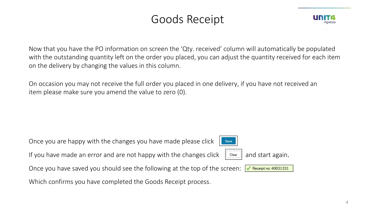### Goods Receipt

Now that you have the PO information on screen the 'Qty. received' column will automatically be populated with the outstanding quantity left on the order you placed, you can adjust the quantity received for each item on the delivery by changing the values in this column.

On occasion you may not receive the full order you placed in one delivery, if you have not received an item please make sure you amend the value to zero (0).

Once you are happy with the changes you have made please click

If you have made an error and are not happy with the changes click  $\|\mathbf{C}_\mathsf{learn}\|$  and start again.

Save

Once you have saved you should see the following at the top of the screen: Receipt no:  $40031331$ 

Which confirms you have completed the Goods Receipt process.

4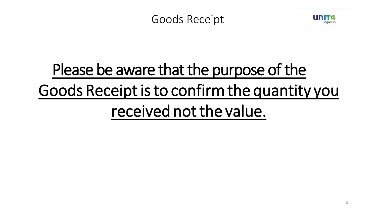



# Please be aware that the purpose of the Goods Receipt is to confirm the quantity you received not the value.